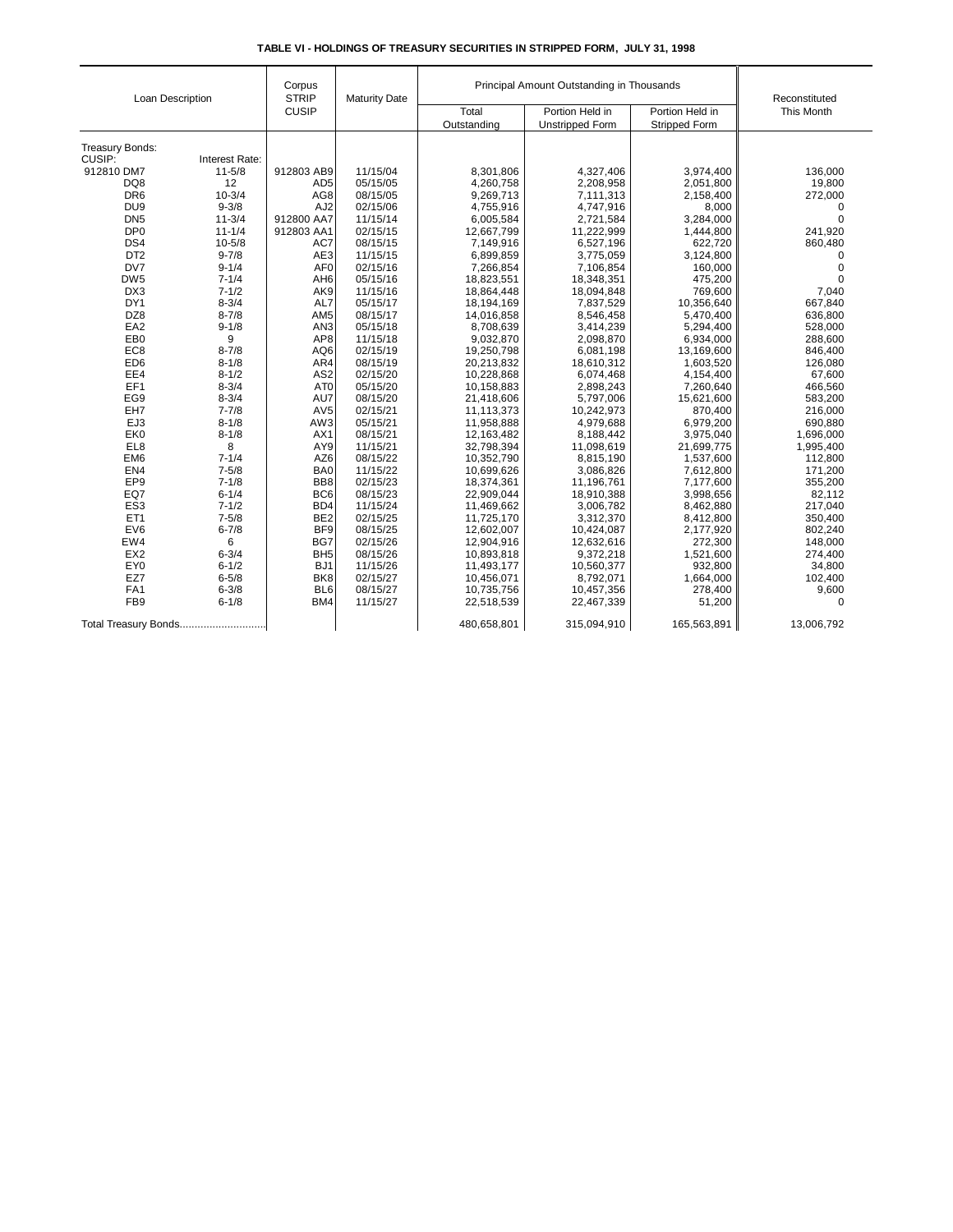|  | TABLE VI - HOLDINGS OF TREASURY SECURITIES IN STRIPPED FORM. JULY 31, 1998 |  |  |
|--|----------------------------------------------------------------------------|--|--|
|--|----------------------------------------------------------------------------|--|--|

| Loan Description          |                | Corpus<br><b>STRIP</b> | <b>Maturity Date</b> | Principal Amount Outstanding in Thousands | Reconstituted          |                      |             |
|---------------------------|----------------|------------------------|----------------------|-------------------------------------------|------------------------|----------------------|-------------|
|                           |                | <b>CUSIP</b>           |                      | Total                                     | Portion Held in        | Portion Held in      | This Month  |
|                           |                |                        |                      | Outstanding                               | <b>Unstripped Form</b> | <b>Stripped Form</b> |             |
|                           |                |                        |                      |                                           |                        |                      |             |
| Treasury Bonds:<br>CUSIP: | Interest Rate: |                        |                      |                                           |                        |                      |             |
| 912810 DM7                | $11 - 5/8$     | 912803 AB9             | 11/15/04             | 8,301,806                                 | 4,327,406              | 3,974,400            | 136,000     |
| DQ8                       | 12             | AD <sub>5</sub>        | 05/15/05             | 4,260,758                                 | 2,208,958              | 2,051,800            | 19,800      |
| DR <sub>6</sub>           | $10 - 3/4$     | AG8                    | 08/15/05             | 9,269,713                                 | 7,111,313              | 2,158,400            | 272,000     |
| DU <sub>9</sub>           | $9 - 3/8$      | AJ <sub>2</sub>        | 02/15/06             | 4,755,916                                 | 4,747,916              | 8,000                | 0           |
| DN <sub>5</sub>           | $11 - 3/4$     | 912800 AA7             | 11/15/14             | 6,005,584                                 | 2,721,584              | 3,284,000            | $\mathbf 0$ |
| DP <sub>0</sub>           | $11 - 1/4$     | 912803 AA1             | 02/15/15             | 12,667,799                                | 11,222,999             | 1,444,800            | 241,920     |
| DS4                       | $10 - 5/8$     | AC7                    | 08/15/15             | 7,149,916                                 | 6,527,196              | 622,720              | 860,480     |
| DT <sub>2</sub>           | $9 - 7/8$      | AE3                    | 11/15/15             | 6,899,859                                 |                        | 3,124,800            | $\mathbf 0$ |
| DV7                       | $9 - 1/4$      | AF <sub>0</sub>        | 02/15/16             | 7,266,854                                 | 3,775,059<br>7,106,854 | 160,000              | $\mathsf 0$ |
| DW <sub>5</sub>           | $7 - 1/4$      | AH <sub>6</sub>        | 05/15/16             | 18,823,551                                | 18,348,351             | 475,200              | $\mathbf 0$ |
| DX3                       | $7 - 1/2$      | AK9                    | 11/15/16             |                                           |                        | 769,600              |             |
| DY1                       | $8 - 3/4$      |                        |                      | 18,864,448                                | 18,094,848             |                      | 7,040       |
|                           |                | AL7                    | 05/15/17             | 18,194,169                                | 7,837,529              | 10,356,640           | 667,840     |
| DZ8                       | $8 - 7/8$      | AM <sub>5</sub>        | 08/15/17             | 14,016,858                                | 8,546,458              | 5,470,400            | 636,800     |
| EA <sub>2</sub>           | $9 - 1/8$      | AN <sub>3</sub>        | 05/15/18             | 8,708,639                                 | 3,414,239              | 5,294,400            | 528,000     |
| EB <sub>0</sub>           | 9              | AP8                    | 11/15/18             | 9,032,870                                 | 2,098,870              | 6,934,000            | 288,600     |
| EC <sub>8</sub>           | $8 - 7/8$      | AQ6                    | 02/15/19             | 19,250,798                                | 6,081,198              | 13,169,600           | 846,400     |
| ED <sub>6</sub>           | $8 - 1/8$      | AR4                    | 08/15/19             | 20,213,832                                | 18,610,312             | 1,603,520            | 126,080     |
| EE4                       | $8 - 1/2$      | AS <sub>2</sub>        | 02/15/20             | 10,228,868                                | 6,074,468              | 4,154,400            | 67,600      |
| EF1                       | $8 - 3/4$      | AT <sub>0</sub>        | 05/15/20             | 10,158,883                                | 2,898,243              | 7,260,640            | 466,560     |
| EG9                       | $8 - 3/4$      | AU7                    | 08/15/20             | 21,418,606                                | 5,797,006              | 15,621,600           | 583,200     |
| EH7                       | $7 - 7/8$      | AV <sub>5</sub>        | 02/15/21             | 11,113,373                                | 10,242,973             | 870,400              | 216,000     |
| EJ3                       | $8 - 1/8$      | AW3                    | 05/15/21             | 11,958,888                                | 4,979,688              | 6,979,200            | 690,880     |
| EK0                       | $8 - 1/8$      | AX1                    | 08/15/21             | 12,163,482                                | 8,188,442              | 3,975,040            | 1,696,000   |
| EL8                       | 8              | AY9                    | 11/15/21             | 32,798,394                                | 11,098,619             | 21,699,775           | 1,995,400   |
| EM <sub>6</sub>           | $7 - 1/4$      | AZ6                    | 08/15/22             | 10,352,790                                | 8,815,190              | 1,537,600            | 112,800     |
| EN4                       | $7 - 5/8$      | BA0                    | 11/15/22             | 10,699,626                                | 3,086,826              | 7,612,800            | 171,200     |
| EP9                       | $7 - 1/8$      | BB8                    | 02/15/23             | 18,374,361                                | 11,196,761             | 7,177,600            | 355,200     |
| EQ7                       | $6 - 1/4$      | BC <sub>6</sub>        | 08/15/23             | 22,909,044                                | 18.910.388             | 3,998,656            | 82.112      |
| ES <sub>3</sub>           | $7 - 1/2$      | B <sub>D4</sub>        | 11/15/24             | 11,469,662                                | 3,006,782              | 8,462,880            | 217,040     |
| ET <sub>1</sub>           | $7 - 5/8$      | BE <sub>2</sub>        | 02/15/25             | 11,725,170                                | 3,312,370              | 8,412,800            | 350,400     |
| EV6                       | $6 - 7/8$      | BF <sub>9</sub>        | 08/15/25             | 12,602,007                                | 10,424,087             | 2,177,920            | 802,240     |
| EW4                       | 6              | BG7                    | 02/15/26             | 12,904,916                                | 12,632,616             | 272,300              | 148,000     |
| EX <sub>2</sub>           | $6 - 3/4$      | BH <sub>5</sub>        | 08/15/26             | 10,893,818                                | 9,372,218              | 1,521,600            | 274,400     |
| EY0                       | $6 - 1/2$      | BJ1                    | 11/15/26             | 11,493,177                                | 10,560,377             | 932,800              | 34,800      |
| EZ7                       | $6 - 5/8$      | BK <sub>8</sub>        | 02/15/27             | 10,456,071                                | 8,792,071              | 1,664,000            | 102,400     |
| FA <sub>1</sub>           | $6 - 3/8$      | BL <sub>6</sub>        | 08/15/27             | 10,735,756                                | 10,457,356             | 278,400              | 9,600       |
| FB <sub>9</sub>           | $6 - 1/8$      | BM4                    | 11/15/27             | 22,518,539                                | 22,467,339             | 51,200               | $\mathbf 0$ |
| Total Treasury Bonds      |                |                        |                      | 480,658,801                               | 315,094,910            | 165,563,891          | 13,006,792  |